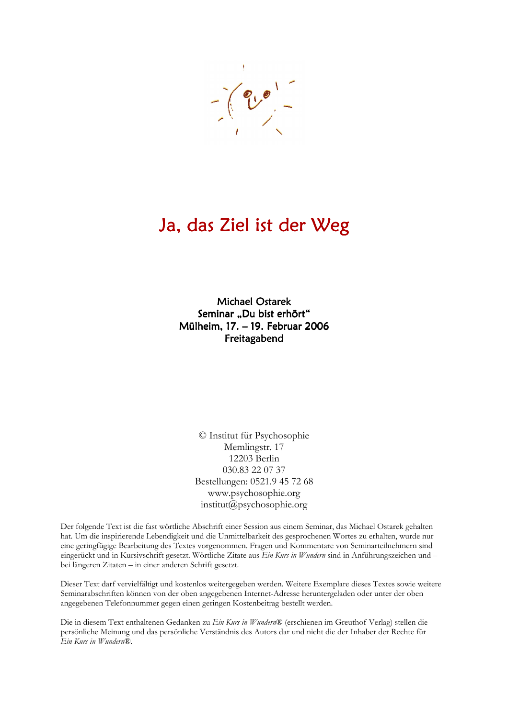

## Ja, das Ziel ist der Weg

**Michael Ostarek** Seminar "Du bist erhört" Mülheim, 17. - 19. Februar 2006 Freitagabend

> © Institut für Psychosophie Memlingstr. 17 12203 Berlin 030.83 22 07 37 Bestellungen: 0521.9 45 72 68 www.psychosophie.org institut@psychosophie.org

Der folgende Text ist die fast wörtliche Abschrift einer Session aus einem Seminar, das Michael Ostarek gehalten hat. Um die inspirierende Lebendigkeit und die Unmittelbarkeit des gesprochenen Wortes zu erhalten, wurde nur eine geringfügige Bearbeitung des Textes vorgenommen. Fragen und Kommentare von Seminarteilnehmern sind eingerückt und in Kursivschrift gesetzt. Wörtliche Zitate aus Ein Kurs in Wundern sind in Anführungszeichen und bei längeren Zitaten – in einer anderen Schrift gesetzt.

Dieser Text darf vervielfältigt und kostenlos weitergegeben werden. Weitere Exemplare dieses Textes sowie weitere Seminarabschriften können von der oben angegebenen Internet-Adresse heruntergeladen oder unter der oben angegebenen Telefonnummer gegen einen geringen Kostenbeitrag bestellt werden.

Die in diesem Text enthaltenen Gedanken zu Ein Kurs in Wundern® (erschienen im Greuthof-Verlag) stellen die persönliche Meinung und das persönliche Verständnis des Autors dar und nicht die der Inhaber der Rechte für Ein Kurs in Wundern®.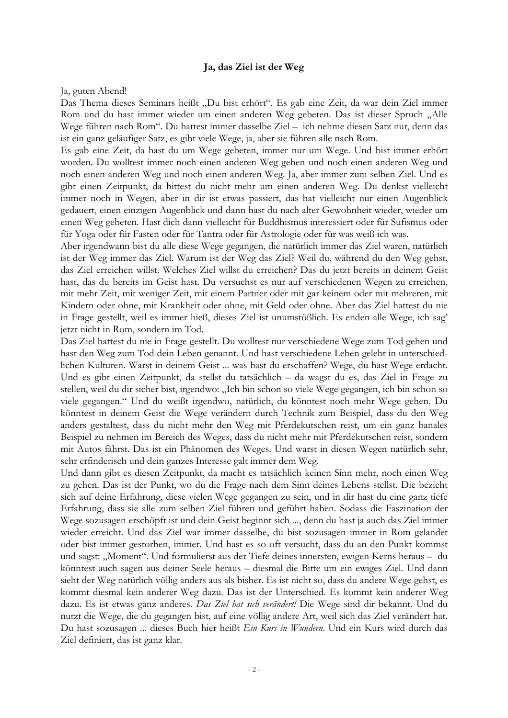## Ja, das Ziel ist der Weg

Ja, guten Abend!

Das Thema dieses Seminars heißt "Du bist erhört". Es gab eine Zeit, da war dein Ziel immer Rom und du hast immer wieder um einen anderen Weg gebeten. Das ist dieser Spruch "Alle Wege führen nach Rom". Du hattest immer dasselbe Ziel – ich nehme diesen Satz nur, denn das ist ein ganz geläufiger Satz, es gibt viele Wege, ja, aber sie führen alle nach Rom.

Es gab eine Zeit, da hast du um Wege gebeten, immer nur um Wege. Und bist immer erhört worden. Du wolltest immer noch einen anderen Weg gehen und noch einen anderen Weg und noch einen anderen Weg und noch einen anderen Weg. Ja, aber immer zum selben Ziel. Und es gibt einen Zeitpunkt, da bittest du nicht mehr um einen anderen Weg. Du denkst vielleicht immer noch in Wegen, aber in dir ist etwas passiert, das hat vielleicht nur einen Augenblick gedauert, einen einzigen Augenblick und dann hast du nach alter Gewohnheit wieder, wieder um einen Weg gebeten. Hast dich dann vielleicht für Buddhismus interessiert oder für Sufismus oder für Yoga oder für Fasten oder für Tantra oder für Astrologie oder für was weiß ich was.

Aber irgendwann bist du alle diese Wege gegangen, die natürlich immer das Ziel waren, natürlich ist der Weg immer das Ziel. Warum ist der Weg das Ziel? Weil du, während du den Weg gehst, das Ziel erreichen willst. Welches Ziel willst du erreichen? Das du jetzt bereits in deinem Geist hast, das du bereits im Geist hast. Du versuchst es nur auf verschiedenen Wegen zu erreichen, mit mehr Zeit, mit weniger Zeit, mit einem Partner oder mit gar keinem oder mit mehreren, mit Kindern oder ohne, mit Krankheit oder ohne, mit Geld oder ohne. Aber das Ziel hattest du nie in Frage gestellt, weil es immer hieß, dieses Ziel ist unumstößlich. Es enden alle Wege, ich sag' jetzt nicht in Rom, sondern im Tod.

Das Ziel hattest du nie in Frage gestellt. Du wolltest nur verschiedene Wege zum Tod gehen und hast den Weg zum Tod dein Leben genannt. Und hast verschiedene Leben gelebt in unterschiedlichen Kulturen. Warst in deinem Geist ... was hast du erschaffen? Wege, du hast Wege erdacht. Und es gibt einen Zeitpunkt, da stellst du tatsächlich - da wagst du es, das Ziel in Frage zu stellen, weil du dir sicher bist, irgendwo: "Ich bin schon so viele Wege gegangen, ich bin schon so viele gegangen." Und du weißt irgendwo, natürlich, du könntest noch mehr Wege gehen. Du könntest in deinem Geist die Wege verändern durch Technik zum Beispiel, dass du den Weg anders gestaltest, dass du nicht mehr den Weg mit Pferdekutschen reist, um ein ganz banales Beispiel zu nehmen im Bereich des Weges, dass du nicht mehr mit Pferdekutschen reist, sondern mit Autos fährst. Das ist ein Phänomen des Weges. Und warst in diesen Wegen natürlich sehr, sehr erfinderisch und dein ganzes Interesse galt immer dem Weg.

Und dann gibt es diesen Zeitpunkt, da macht es tatsächlich keinen Sinn mehr, noch einen Weg zu gehen. Das ist der Punkt, wo du die Frage nach dem Sinn deines Lebens stellst. Die bezieht sich auf deine Erfahrung, diese vielen Wege gegangen zu sein, und in dir hast du eine ganz tiefe Erfahrung, dass sie alle zum selben Ziel führen und geführt haben. Sodass die Faszination der Wege sozusagen erschöpft ist und dein Geist beginnt sich ..., denn du hast ja auch das Ziel immer wieder erreicht. Und das Ziel war immer dasselbe, du bist sozusagen immer in Rom gelandet oder bist immer gestorben, immer. Und hast es so oft versucht, dass du an den Punkt kommst und sagst: "Moment". Und formulierst aus der Tiefe deines innersten, ewigen Kerns heraus – du könntest auch sagen aus deiner Seele heraus – diesmal die Bitte um ein ewiges Ziel. Und dann sieht der Weg natürlich völlig anders aus als bisher. Es ist nicht so, dass du andere Wege gehst, es kommt diesmal kein anderer Weg dazu. Das ist der Unterschied. Es kommt kein anderer Weg dazu. Es ist etwas ganz anderes. Das Ziel hat sich verändert! Die Wege sind dir bekannt. Und du nutzt die Wege, die du gegangen bist, auf eine völlig andere Art, weil sich das Ziel verändert hat. Du hast sozusagen ... dieses Buch hier heißt Ein Kurs in Wundern. Und ein Kurs wird durch das Ziel definiert, das ist ganz klar.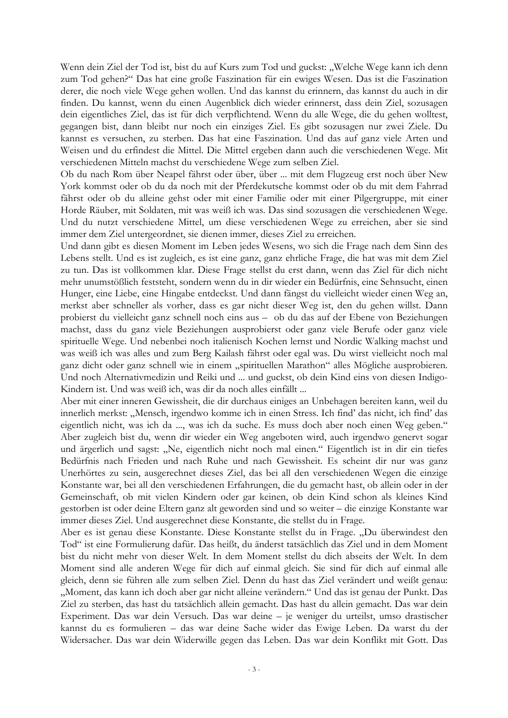Wenn dein Ziel der Tod ist, bist du auf Kurs zum Tod und guckst: "Welche Wege kann ich denn zum Tod gehen?" Das hat eine große Faszination für ein ewiges Wesen. Das ist die Faszination derer, die noch viele Wege gehen wollen. Und das kannst du erinnern, das kannst du auch in dir finden. Du kannst, wenn du einen Augenblick dich wieder erinnerst, dass dein Ziel, sozusagen dein eigentliches Ziel, das ist für dich verpflichtend. Wenn du alle Wege, die du gehen wolltest, gegangen bist, dann bleibt nur noch ein einziges Ziel. Es gibt sozusagen nur zwei Ziele. Du kannst es versuchen, zu sterben. Das hat eine Faszination. Und das auf ganz viele Arten und Weisen und du erfindest die Mittel. Die Mittel ergeben dann auch die verschiedenen Wege. Mit verschiedenen Mitteln machst du verschiedene Wege zum selben Ziel.

Ob du nach Rom über Neapel fährst oder über, über ... mit dem Flugzeug erst noch über New York kommst oder ob du da noch mit der Pferdekutsche kommst oder ob du mit dem Fahrrad fährst oder ob du alleine gehst oder mit einer Familie oder mit einer Pilgergruppe, mit einer Horde Räuber, mit Soldaten, mit was weiß ich was. Das sind sozusagen die verschiedenen Wege. Und du nutzt verschiedene Mittel, um diese verschiedenen Wege zu erreichen, aber sie sind immer dem Ziel untergeordnet, sie dienen immer, dieses Ziel zu erreichen.

Und dann gibt es diesen Moment im Leben jedes Wesens, wo sich die Frage nach dem Sinn des Lebens stellt. Und es ist zugleich, es ist eine ganz, ganz ehrliche Frage, die hat was mit dem Ziel zu tun. Das ist vollkommen klar. Diese Frage stellst du erst dann, wenn das Ziel für dich nicht mehr unumstößlich feststeht, sondern wenn du in dir wieder ein Bedürfnis, eine Sehnsucht, einen Hunger, eine Liebe, eine Hingabe entdeckst. Und dann fängst du vielleicht wieder einen Weg an, merkst aber schneller als vorher, dass es gar nicht dieser Weg ist, den du gehen willst. Dann probierst du vielleicht ganz schnell noch eins aus - ob du das auf der Ebene von Beziehungen machst, dass du ganz viele Beziehungen ausprobierst oder ganz viele Berufe oder ganz viele spirituelle Wege. Und nebenbei noch italienisch Kochen lernst und Nordic Walking machst und was weiß ich was alles und zum Berg Kailash fährst oder egal was. Du wirst vielleicht noch mal ganz dicht oder ganz schnell wie in einem "spirituellen Marathon" alles Mögliche ausprobieren. Und noch Alternativmedizin und Reiki und ... und guckst, ob dein Kind eins von diesen Indigo-Kindern ist. Und was weiß ich, was dir da noch alles einfällt ...

Aber mit einer inneren Gewissheit, die dir durchaus einiges an Unbehagen bereiten kann, weil du innerlich merkst: "Mensch, irgendwo komme ich in einen Stress. Ich find' das nicht, ich find' das eigentlich nicht, was ich da ..., was ich da suche. Es muss doch aber noch einen Weg geben." Aber zugleich bist du, wenn dir wieder ein Weg angeboten wird, auch irgendwo genervt sogar und ärgerlich und sagst: "Ne, eigentlich nicht noch mal einen." Eigentlich ist in dir ein tiefes Bedürfnis nach Frieden und nach Ruhe und nach Gewissheit. Es scheint dir nur was ganz Unerhörtes zu sein, ausgerechnet dieses Ziel, das bei all den verschiedenen Wegen die einzige Konstante war, bei all den verschiedenen Erfahrungen, die du gemacht hast, ob allein oder in der Gemeinschaft, ob mit vielen Kindern oder gar keinen, ob dein Kind schon als kleines Kind gestorben ist oder deine Eltern ganz alt geworden sind und so weiter – die einzige Konstante war immer dieses Ziel. Und ausgerechnet diese Konstante, die stellst du in Frage.

Aber es ist genau diese Konstante. Diese Konstante stellst du in Frage. "Du überwindest den Tod" ist eine Formulierung dafür. Das heißt, du änderst tatsächlich das Ziel und in dem Moment bist du nicht mehr von dieser Welt. In dem Moment stellst du dich abseits der Welt. In dem Moment sind alle anderen Wege für dich auf einmal gleich. Sie sind für dich auf einmal alle gleich, denn sie führen alle zum selben Ziel. Denn du hast das Ziel verändert und weißt genau: "Moment, das kann ich doch aber gar nicht alleine verändern." Und das ist genau der Punkt. Das Ziel zu sterben, das hast du tatsächlich allein gemacht. Das hast du allein gemacht. Das war dein Experiment. Das war dein Versuch. Das war deine - je weniger du urteilst, umso drastischer kannst du es formulieren - das war deine Sache wider das Ewige Leben. Da warst du der Widersacher. Das war dein Widerwille gegen das Leben. Das war dein Konflikt mit Gott. Das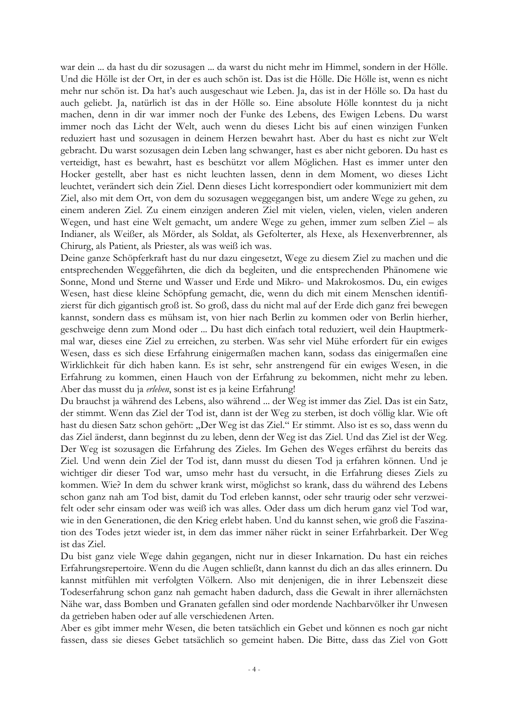war dein ... da hast du dir sozusagen ... da warst du nicht mehr im Himmel, sondern in der Hölle. Und die Hölle ist der Ort, in der es auch schön ist. Das ist die Hölle. Die Hölle ist, wenn es nicht mehr nur schön ist. Da hat's auch ausgeschaut wie Leben. Ja, das ist in der Hölle so. Da hast du auch geliebt. Ja, natürlich ist das in der Hölle so. Eine absolute Hölle konntest du ja nicht machen, denn in dir war immer noch der Funke des Lebens, des Ewigen Lebens. Du warst immer noch das Licht der Welt, auch wenn du dieses Licht bis auf einen winzigen Funken reduziert hast und sozusagen in deinem Herzen bewahrt hast. Aber du hast es nicht zur Welt gebracht. Du warst sozusagen dein Leben lang schwanger, hast es aber nicht geboren. Du hast es verteidigt, hast es bewahrt, hast es beschützt vor allem Möglichen. Hast es immer unter den Hocker gestellt, aber hast es nicht leuchten lassen, denn in dem Moment, wo dieses Licht leuchtet, verändert sich dein Ziel. Denn dieses Licht korrespondiert oder kommuniziert mit dem Ziel, also mit dem Ort, von dem du sozusagen weggegangen bist, um andere Wege zu gehen, zu einem anderen Ziel. Zu einem einzigen anderen Ziel mit vielen, vielen, vielen, vielen anderen Wegen, und hast eine Welt gemacht, um andere Wege zu gehen, immer zum selben Ziel – als Indianer, als Weißer, als Mörder, als Soldat, als Gefolterter, als Hexe, als Hexenverbrenner, als Chirurg, als Patient, als Priester, als was weiß ich was.

Deine ganze Schöpferkraft hast du nur dazu eingesetzt, Wege zu diesem Ziel zu machen und die entsprechenden Weggefährten, die dich da begleiten, und die entsprechenden Phänomene wie Sonne, Mond und Sterne und Wasser und Erde und Mikro- und Makrokosmos. Du, ein ewiges Wesen, hast diese kleine Schöpfung gemacht, die, wenn du dich mit einem Menschen identifizierst für dich gigantisch groß ist. So groß, dass du nicht mal auf der Erde dich ganz frei bewegen kannst, sondern dass es mühsam ist, von hier nach Berlin zu kommen oder von Berlin hierher, geschweige denn zum Mond oder ... Du hast dich einfach total reduziert, weil dein Hauptmerkmal war, dieses eine Ziel zu erreichen, zu sterben. Was sehr viel Mühe erfordert für ein ewiges Wesen, dass es sich diese Erfahrung einigermaßen machen kann, sodass das einigermaßen eine Wirklichkeit für dich haben kann. Es ist sehr, sehr anstrengend für ein ewiges Wesen, in die Erfahrung zu kommen, einen Hauch von der Erfahrung zu bekommen, nicht mehr zu leben. Aber das musst du ja erleben, sonst ist es ja keine Erfahrung!

Du brauchst ja während des Lebens, also während ... der Weg ist immer das Ziel. Das ist ein Satz, der stimmt. Wenn das Ziel der Tod ist, dann ist der Weg zu sterben, ist doch völlig klar. Wie oft hast du diesen Satz schon gehört: "Der Weg ist das Ziel." Er stimmt. Also ist es so, dass wenn du das Ziel änderst, dann beginnst du zu leben, denn der Weg ist das Ziel. Und das Ziel ist der Weg. Der Weg ist sozusagen die Erfahrung des Zieles. Im Gehen des Weges erfährst du bereits das Ziel. Und wenn dein Ziel der Tod ist, dann musst du diesen Tod ja erfahren können. Und je wichtiger dir dieser Tod war, umso mehr hast du versucht, in die Erfahrung dieses Ziels zu kommen. Wie? In dem du schwer krank wirst, möglichst so krank, dass du während des Lebens schon ganz nah am Tod bist, damit du Tod erleben kannst, oder sehr traurig oder sehr verzweifelt oder sehr einsam oder was weiß ich was alles. Oder dass um dich herum ganz viel Tod war, wie in den Generationen, die den Krieg erlebt haben. Und du kannst sehen, wie groß die Faszination des Todes jetzt wieder ist, in dem das immer näher rückt in seiner Erfahrbarkeit. Der Weg ist das Ziel.

Du bist ganz viele Wege dahin gegangen, nicht nur in dieser Inkarnation. Du hast ein reiches Erfahrungsrepertoire. Wenn du die Augen schließt, dann kannst du dich an das alles erinnern. Du kannst mitfühlen mit verfolgten Völkern. Also mit denjenigen, die in ihrer Lebenszeit diese Todeserfahrung schon ganz nah gemacht haben dadurch, dass die Gewalt in ihrer allernächsten Nähe war, dass Bomben und Granaten gefallen sind oder mordende Nachbarvölker ihr Unwesen da getrieben haben oder auf alle verschiedenen Arten.

Aber es gibt immer mehr Wesen, die beten tatsächlich ein Gebet und können es noch gar nicht fassen, dass sie dieses Gebet tatsächlich so gemeint haben. Die Bitte, dass das Ziel von Gott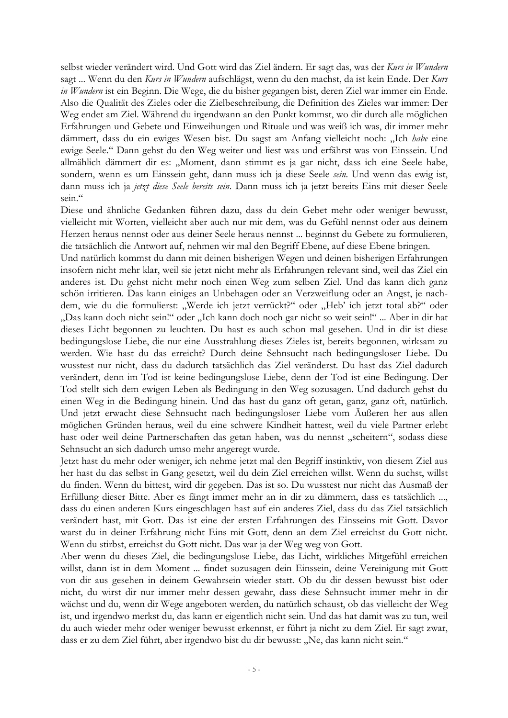selbst wieder verändert wird. Und Gott wird das Ziel ändern. Er sagt das, was der Kurs in Wundern sagt ... Wenn du den Kurs in Wundern aufschlägst, wenn du den machst, da ist kein Ende. Der Kurs in Wundern ist ein Beginn. Die Wege, die du bisher gegangen bist, deren Ziel war immer ein Ende. Also die Qualität des Zieles oder die Zielbeschreibung, die Definition des Zieles war immer: Der Weg endet am Ziel. Während du irgendwann an den Punkt kommst, wo dir durch alle möglichen Erfahrungen und Gebete und Einweihungen und Rituale und was weiß ich was, dir immer mehr dämmert, dass du ein ewiges Wesen bist. Du sagst am Anfang vielleicht noch: "Ich babe eine ewige Seele." Dann gehst du den Weg weiter und liest was und erfährst was von Einssein. Und allmählich dämmert dir es: "Moment, dann stimmt es ja gar nicht, dass ich eine Seele habe, sondern, wenn es um Einssein geht, dann muss ich ja diese Seele sein. Und wenn das ewig ist, dann muss ich ja jetzt diese Seele bereits sein. Dann muss ich ja jetzt bereits Eins mit dieser Seele sein."

Diese und ähnliche Gedanken führen dazu, dass du dein Gebet mehr oder weniger bewusst, vielleicht mit Worten, vielleicht aber auch nur mit dem, was du Gefühl nennst oder aus deinem Herzen heraus nennst oder aus deiner Seele heraus nennst ... beginnst du Gebete zu formulieren, die tatsächlich die Antwort auf, nehmen wir mal den Begriff Ebene, auf diese Ebene bringen.

Und natürlich kommst du dann mit deinen bisherigen Wegen und deinen bisherigen Erfahrungen insofern nicht mehr klar, weil sie jetzt nicht mehr als Erfahrungen relevant sind, weil das Ziel ein anderes ist. Du gehst nicht mehr noch einen Weg zum selben Ziel. Und das kann dich ganz schön irritieren. Das kann einiges an Unbehagen oder an Verzweiflung oder an Angst, je nachdem, wie du die formulierst: "Werde ich jetzt verrückt?" oder "Heb' ich jetzt total ab?" oder "Das kann doch nicht sein!" oder "Ich kann doch noch gar nicht so weit sein!" ... Aber in dir hat dieses Licht begonnen zu leuchten. Du hast es auch schon mal gesehen. Und in dir ist diese bedingungslose Liebe, die nur eine Ausstrahlung dieses Zieles ist, bereits begonnen, wirksam zu werden. Wie hast du das erreicht? Durch deine Sehnsucht nach bedingungsloser Liebe. Du wusstest nur nicht, dass du dadurch tatsächlich das Ziel veränderst. Du hast das Ziel dadurch verändert, denn im Tod ist keine bedingungslose Liebe, denn der Tod ist eine Bedingung. Der Tod stellt sich dem ewigen Leben als Bedingung in den Weg sozusagen. Und dadurch gehst du einen Weg in die Bedingung hinein. Und das hast du ganz oft getan, ganz, ganz oft, natürlich. Und jetzt erwacht diese Sehnsucht nach bedingungsloser Liebe vom Äußeren her aus allen möglichen Gründen heraus, weil du eine schwere Kindheit hattest, weil du viele Partner erlebt hast oder weil deine Partnerschaften das getan haben, was du nennst "scheitern", sodass diese Sehnsucht an sich dadurch umso mehr angeregt wurde.

Jetzt hast du mehr oder weniger, ich nehme jetzt mal den Begriff instinktiv, von diesem Ziel aus her hast du das selbst in Gang gesetzt, weil du dein Ziel erreichen willst. Wenn du suchst, willst du finden. Wenn du bittest, wird dir gegeben. Das ist so. Du wusstest nur nicht das Ausmaß der Erfüllung dieser Bitte. Aber es fängt immer mehr an in dir zu dämmern, dass es tatsächlich ..., dass du einen anderen Kurs eingeschlagen hast auf ein anderes Ziel, dass du das Ziel tatsächlich verändert hast, mit Gott. Das ist eine der ersten Erfahrungen des Einsseins mit Gott. Davor warst du in deiner Erfahrung nicht Eins mit Gott, denn an dem Ziel erreichst du Gott nicht. Wenn du stirbst, erreichst du Gott nicht. Das war ja der Weg weg von Gott.

Aber wenn du dieses Ziel, die bedingungslose Liebe, das Licht, wirkliches Mitgefühl erreichen willst, dann ist in dem Moment ... findet sozusagen dein Einssein, deine Vereinigung mit Gott von dir aus gesehen in deinem Gewahrsein wieder statt. Ob du dir dessen bewusst bist oder nicht, du wirst dir nur immer mehr dessen gewahr, dass diese Sehnsucht immer mehr in dir wächst und du, wenn dir Wege angeboten werden, du natürlich schaust, ob das vielleicht der Weg ist, und irgendwo merkst du, das kann er eigentlich nicht sein. Und das hat damit was zu tun, weil du auch wieder mehr oder weniger bewusst erkennst, er führt ja nicht zu dem Ziel. Er sagt zwar, dass er zu dem Ziel führt, aber irgendwo bist du dir bewusst: "Ne, das kann nicht sein."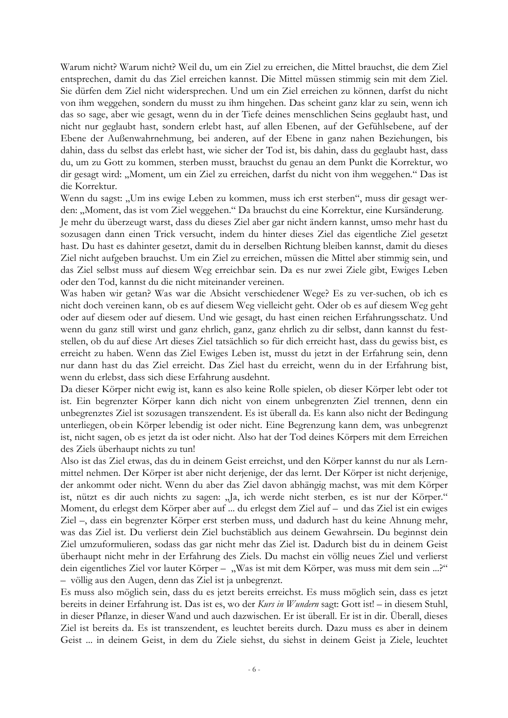Warum nicht? Warum nicht? Weil du, um ein Ziel zu erreichen, die Mittel brauchst, die dem Ziel entsprechen, damit du das Ziel erreichen kannst. Die Mittel müssen stimmig sein mit dem Ziel. Sie dürfen dem Ziel nicht widersprechen. Und um ein Ziel erreichen zu können, darfst du nicht von ihm weggehen, sondern du musst zu ihm hingehen. Das scheint ganz klar zu sein, wenn ich das so sage, aber wie gesagt, wenn du in der Tiefe deines menschlichen Seins geglaubt hast, und nicht nur geglaubt hast, sondern erlebt hast, auf allen Ebenen, auf der Gefühlsebene, auf der Ebene der Außenwahrnehmung, bei anderen, auf der Ebene in ganz nahen Beziehungen, bis dahin, dass du selbst das erlebt hast, wie sicher der Tod ist, bis dahin, dass du geglaubt hast, dass du, um zu Gott zu kommen, sterben musst, brauchst du genau an dem Punkt die Korrektur, wo dir gesagt wird: "Moment, um ein Ziel zu erreichen, darfst du nicht von ihm weggehen." Das ist die Korrektur.

Wenn du sagst: "Um ins ewige Leben zu kommen, muss ich erst sterben", muss dir gesagt werden: "Moment, das ist vom Ziel weggehen." Da brauchst du eine Korrektur, eine Kursänderung.

Je mehr du überzeugt warst, dass du dieses Ziel aber gar nicht ändern kannst, umso mehr hast du sozusagen dann einen Trick versucht, indem du hinter dieses Ziel das eigentliche Ziel gesetzt hast. Du hast es dahinter gesetzt, damit du in derselben Richtung bleiben kannst, damit du dieses Ziel nicht aufgeben brauchst. Um ein Ziel zu erreichen, müssen die Mittel aber stimmig sein, und das Ziel selbst muss auf diesem Weg erreichbar sein. Da es nur zwei Ziele gibt, Ewiges Leben oder den Tod, kannst du die nicht miteinander vereinen.

Was haben wir getan? Was war die Absicht verschiedener Wege? Es zu ver-suchen, ob ich es nicht doch vereinen kann, ob es auf diesem Weg vielleicht geht. Oder ob es auf diesem Weg geht oder auf diesem oder auf diesem. Und wie gesagt, du hast einen reichen Erfahrungsschatz. Und wenn du ganz still wirst und ganz ehrlich, ganz, ganz ehrlich zu dir selbst, dann kannst du feststellen, ob du auf diese Art dieses Ziel tatsächlich so für dich erreicht hast, dass du gewiss bist, es erreicht zu haben. Wenn das Ziel Ewiges Leben ist, musst du jetzt in der Erfahrung sein, denn nur dann hast du das Ziel erreicht. Das Ziel hast du erreicht, wenn du in der Erfahrung bist, wenn du erlebst, dass sich diese Erfahrung ausdehnt.

Da dieser Körper nicht ewig ist, kann es also keine Rolle spielen, ob dieser Körper lebt oder tot ist. Ein begrenzter Körper kann dich nicht von einem unbegrenzten Ziel trennen, denn ein unbegrenztes Ziel ist sozusagen transzendent. Es ist überall da. Es kann also nicht der Bedingung unterliegen, obein Körper lebendig ist oder nicht. Eine Begrenzung kann dem, was unbegrenzt ist, nicht sagen, ob es jetzt da ist oder nicht. Also hat der Tod deines Körpers mit dem Erreichen des Ziels überhaupt nichts zu tun!

Also ist das Ziel etwas, das du in deinem Geist erreichst, und den Körper kannst du nur als Lernmittel nehmen. Der Körper ist aber nicht derjenige, der das lernt. Der Körper ist nicht derjenige, der ankommt oder nicht. Wenn du aber das Ziel davon abhängig machst, was mit dem Körper ist, nützt es dir auch nichts zu sagen: "Ja, ich werde nicht sterben, es ist nur der Körper." Moment, du erlegst dem Körper aber auf ... du erlegst dem Ziel auf - und das Ziel ist ein ewiges Ziel –, dass ein begrenzter Körper erst sterben muss, und dadurch hast du keine Ahnung mehr, was das Ziel ist. Du verlierst dein Ziel buchstäblich aus deinem Gewahrsein. Du beginnst dein Ziel umzuformulieren, sodass das gar nicht mehr das Ziel ist. Dadurch bist du in deinem Geist überhaupt nicht mehr in der Erfahrung des Ziels. Du machst ein völlig neues Ziel und verlierst dein eigentliches Ziel vor lauter Körper - "Was ist mit dem Körper, was muss mit dem sein ...?" - völlig aus den Augen, denn das Ziel ist ja unbegrenzt.

Es muss also möglich sein, dass du es jetzt bereits erreichst. Es muss möglich sein, dass es jetzt bereits in deiner Erfahrung ist. Das ist es, wo der Kurs in Wundern sagt: Gott ist! – in diesem Stuhl, in dieser Pflanze, in dieser Wand und auch dazwischen. Er ist überall. Er ist in dir. Überall, dieses Ziel ist bereits da. Es ist transzendent, es leuchtet bereits durch. Dazu muss es aber in deinem Geist ... in deinem Geist, in dem du Ziele siehst, du siehst in deinem Geist ja Ziele, leuchtet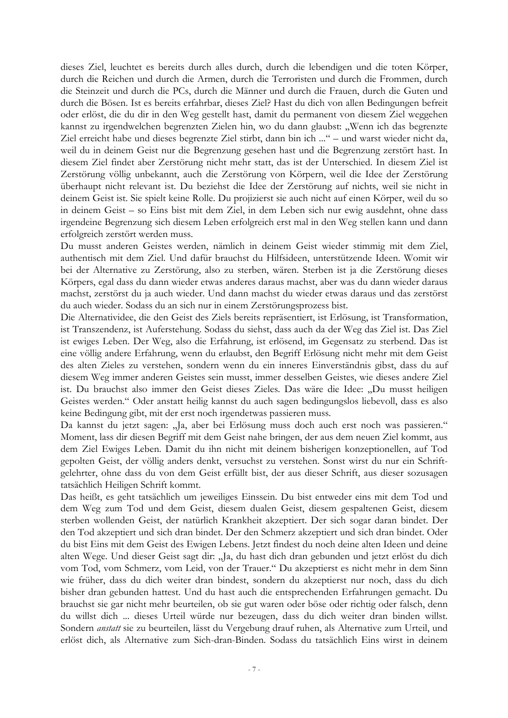dieses Ziel, leuchtet es bereits durch alles durch, durch die lebendigen und die toten Körper, durch die Reichen und durch die Armen, durch die Terroristen und durch die Frommen, durch die Steinzeit und durch die PCs, durch die Männer und durch die Frauen, durch die Guten und durch die Bösen. Ist es bereits erfahrbar, dieses Ziel? Hast du dich von allen Bedingungen befreit oder erlöst, die du dir in den Weg gestellt hast, damit du permanent von diesem Ziel weggehen kannst zu irgendwelchen begrenzten Zielen hin, wo du dann glaubst: "Wenn ich das begrenzte Ziel erreicht habe und dieses begrenzte Ziel stirbt, dann bin ich ..." - und warst wieder nicht da, weil du in deinem Geist nur die Begrenzung gesehen hast und die Begrenzung zerstört hast. In diesem Ziel findet aber Zerstörung nicht mehr statt, das ist der Unterschied. In diesem Ziel ist Zerstörung völlig unbekannt, auch die Zerstörung von Körpern, weil die Idee der Zerstörung überhaupt nicht relevant ist. Du beziehst die Idee der Zerstörung auf nichts, weil sie nicht in deinem Geist ist. Sie spielt keine Rolle. Du projizierst sie auch nicht auf einen Körper, weil du so in deinem Geist - so Eins bist mit dem Ziel, in dem Leben sich nur ewig ausdehnt, ohne dass irgendeine Begrenzung sich diesem Leben erfolgreich erst mal in den Weg stellen kann und dann erfolgreich zerstört werden muss.

Du musst anderen Geistes werden, nämlich in deinem Geist wieder stimmig mit dem Ziel, authentisch mit dem Ziel. Und dafür brauchst du Hilfsideen, unterstützende Ideen. Womit wir bei der Alternative zu Zerstörung, also zu sterben, wären. Sterben ist ja die Zerstörung dieses Körpers, egal dass du dann wieder etwas anderes daraus machst, aber was du dann wieder daraus machst, zerstörst du ja auch wieder. Und dann machst du wieder etwas daraus und das zerstörst du auch wieder. Sodass du an sich nur in einem Zerstörungsprozess bist.

Die Alternatividee, die den Geist des Ziels bereits repräsentiert, ist Erlösung, ist Transformation, ist Transzendenz, ist Auferstehung. Sodass du siehst, dass auch da der Weg das Ziel ist. Das Ziel ist ewiges Leben. Der Weg, also die Erfahrung, ist erlösend, im Gegensatz zu sterbend. Das ist eine völlig andere Erfahrung, wenn du erlaubst, den Begriff Erlösung nicht mehr mit dem Geist des alten Zieles zu verstehen, sondern wenn du ein inneres Einverständnis gibst, dass du auf diesem Weg immer anderen Geistes sein musst, immer desselben Geistes, wie dieses andere Ziel ist. Du brauchst also immer den Geist dieses Zieles. Das wäre die Idee: "Du musst heiligen Geistes werden." Oder anstatt heilig kannst du auch sagen bedingungslos liebevoll, dass es also keine Bedingung gibt, mit der erst noch irgendetwas passieren muss.

Da kannst du jetzt sagen: "Ja, aber bei Erlösung muss doch auch erst noch was passieren." Moment, lass dir diesen Begriff mit dem Geist nahe bringen, der aus dem neuen Ziel kommt, aus dem Ziel Ewiges Leben. Damit du ihn nicht mit deinem bisherigen konzeptionellen, auf Tod gepolten Geist, der völlig anders denkt, versuchst zu verstehen. Sonst wirst du nur ein Schriftgelehrter, ohne dass du von dem Geist erfüllt bist, der aus dieser Schrift, aus dieser sozusagen tatsächlich Heiligen Schrift kommt.

Das heißt, es geht tatsächlich um jeweiliges Einssein. Du bist entweder eins mit dem Tod und dem Weg zum Tod und dem Geist, diesem dualen Geist, diesem gespaltenen Geist, diesem sterben wollenden Geist, der natürlich Krankheit akzeptiert. Der sich sogar daran bindet. Der den Tod akzeptiert und sich dran bindet. Der den Schmerz akzeptiert und sich dran bindet. Oder du bist Eins mit dem Geist des Ewigen Lebens. Jetzt findest du noch deine alten Ideen und deine alten Wege. Und dieser Geist sagt dir: "Ja, du hast dich dran gebunden und jetzt erlöst du dich vom Tod, vom Schmerz, vom Leid, von der Trauer." Du akzeptierst es nicht mehr in dem Sinn wie früher, dass du dich weiter dran bindest, sondern du akzeptierst nur noch, dass du dich bisher dran gebunden hattest. Und du hast auch die entsprechenden Erfahrungen gemacht. Du brauchst sie gar nicht mehr beurteilen, ob sie gut waren oder böse oder richtig oder falsch, denn du willst dich ... dieses Urteil würde nur bezeugen, dass du dich weiter dran binden willst. Sondern *anstatt* sie zu beurteilen, lässt du Vergebung drauf ruhen, als Alternative zum Urteil, und erlöst dich, als Alternative zum Sich-dran-Binden. Sodass du tatsächlich Eins wirst in deinem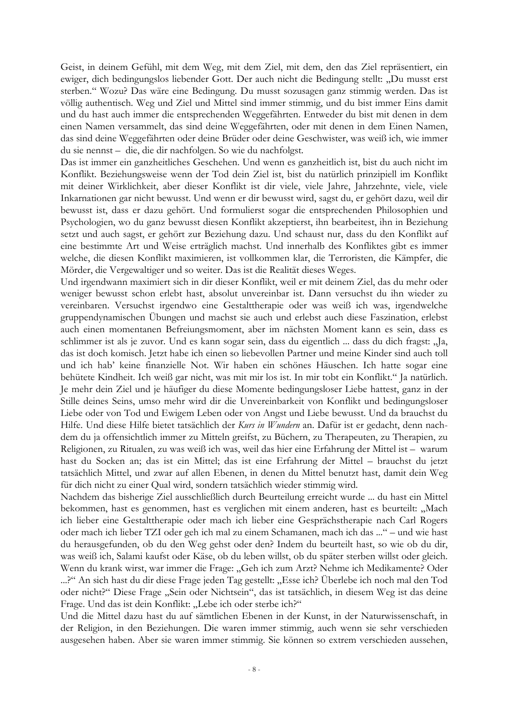Geist, in deinem Gefühl, mit dem Weg, mit dem Ziel, mit dem, den das Ziel repräsentiert, ein ewiger, dich bedingungslos liebender Gott. Der auch nicht die Bedingung stellt: "Du musst erst sterben." Wozu? Das wäre eine Bedingung. Du musst sozusagen ganz stimmig werden. Das ist völlig authentisch. Weg und Ziel und Mittel sind immer stimmig, und du bist immer Eins damit und du hast auch immer die entsprechenden Weggefährten. Entweder du bist mit denen in dem einen Namen versammelt, das sind deine Weggefährten, oder mit denen in dem Einen Namen, das sind deine Weggefährten oder deine Brüder oder deine Geschwister, was weiß ich, wie immer du sie nennst - die, die dir nachfolgen. So wie du nachfolgst.

Das ist immer ein ganzheitliches Geschehen. Und wenn es ganzheitlich ist, bist du auch nicht im Konflikt. Beziehungsweise wenn der Tod dein Ziel ist, bist du natürlich prinzipiell im Konflikt mit deiner Wirklichkeit, aber dieser Konflikt ist dir viele, viele Jahre, Jahrzehnte, viele, viele Inkarnationen gar nicht bewusst. Und wenn er dir bewusst wird, sagst du, er gehört dazu, weil dir bewusst ist, dass er dazu gehört. Und formulierst sogar die entsprechenden Philosophien und Psychologien, wo du ganz bewusst diesen Konflikt akzeptierst, ihn bearbeitest, ihn in Beziehung setzt und auch sagst, er gehört zur Beziehung dazu. Und schaust nur, dass du den Konflikt auf eine bestimmte Art und Weise erträglich machst. Und innerhalb des Konfliktes gibt es immer welche, die diesen Konflikt maximieren, ist vollkommen klar, die Terroristen, die Kämpfer, die Mörder, die Vergewaltiger und so weiter. Das ist die Realität dieses Weges.

Und irgendwann maximiert sich in dir dieser Konflikt, weil er mit deinem Ziel, das du mehr oder weniger bewusst schon erlebt hast, absolut unvereinbar ist. Dann versuchst du ihn wieder zu vereinbaren. Versuchst irgendwo eine Gestalttherapie oder was weiß ich was, irgendwelche gruppendynamischen Übungen und machst sie auch und erlebst auch diese Faszination, erlebst auch einen momentanen Befreiungsmoment, aber im nächsten Moment kann es sein, dass es schlimmer ist als je zuvor. Und es kann sogar sein, dass du eigentlich ... dass du dich fragst: "Ja, das ist doch komisch. Jetzt habe ich einen so liebevollen Partner und meine Kinder sind auch toll und ich hab' keine finanzielle Not. Wir haben ein schönes Häuschen. Ich hatte sogar eine behütete Kindheit. Ich weiß gar nicht, was mit mir los ist. In mir tobt ein Konflikt." Ja natürlich. Je mehr dein Ziel und je häufiger du diese Momente bedingungsloser Liebe hattest, ganz in der Stille deines Seins, umso mehr wird dir die Unvereinbarkeit von Konflikt und bedingungsloser Liebe oder von Tod und Ewigem Leben oder von Angst und Liebe bewusst. Und da brauchst du Hilfe. Und diese Hilfe bietet tatsächlich der Kurs in Wundern an. Dafür ist er gedacht, denn nachdem du ja offensichtlich immer zu Mitteln greifst, zu Büchern, zu Therapeuten, zu Therapien, zu Religionen, zu Ritualen, zu was weiß ich was, weil das hier eine Erfahrung der Mittel ist - warum hast du Socken an; das ist ein Mittel; das ist eine Erfahrung der Mittel - brauchst du jetzt tatsächlich Mittel, und zwar auf allen Ebenen, in denen du Mittel benutzt hast, damit dein Weg für dich nicht zu einer Qual wird, sondern tatsächlich wieder stimmig wird.

Nachdem das bisherige Ziel ausschließlich durch Beurteilung erreicht wurde ... du hast ein Mittel bekommen, hast es genommen, hast es verglichen mit einem anderen, hast es beurteilt: "Mach ich lieber eine Gestalttherapie oder mach ich lieber eine Gesprächstherapie nach Carl Rogers oder mach ich lieber TZI oder geh ich mal zu einem Schamanen, mach ich das ..." – und wie hast du herausgefunden, ob du den Weg gehst oder den? Indem du beurteilt hast, so wie ob du dir, was weiß ich, Salami kaufst oder Käse, ob du leben willst, ob du später sterben willst oder gleich. Wenn du krank wirst, war immer die Frage: "Geh ich zum Arzt? Nehme ich Medikamente? Oder ...?" An sich hast du dir diese Frage jeden Tag gestellt: "Esse ich? Überlebe ich noch mal den Tod oder nicht?" Diese Frage "Sein oder Nichtsein", das ist tatsächlich, in diesem Weg ist das deine Frage. Und das ist dein Konflikt: "Lebe ich oder sterbe ich?"

Und die Mittel dazu hast du auf sämtlichen Ebenen in der Kunst, in der Naturwissenschaft, in der Religion, in den Beziehungen. Die waren immer stimmig, auch wenn sie sehr verschieden ausgesehen haben. Aber sie waren immer stimmig. Sie können so extrem verschieden aussehen,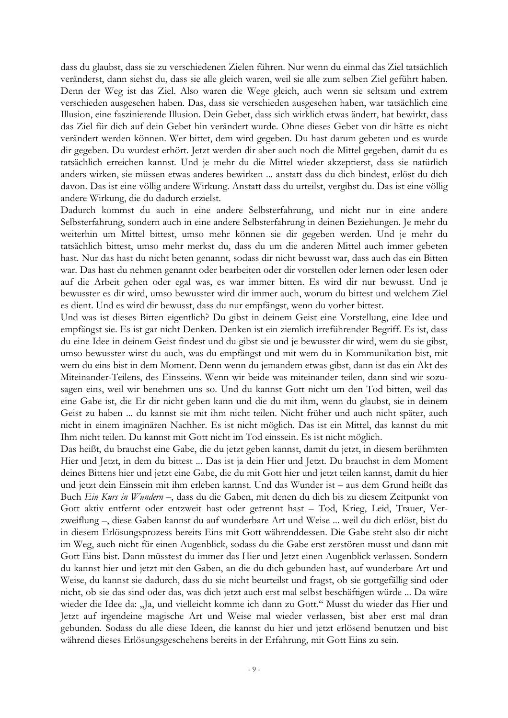dass du glaubst, dass sie zu verschiedenen Zielen führen. Nur wenn du einmal das Ziel tatsächlich veränderst, dann siehst du, dass sie alle gleich waren, weil sie alle zum selben Ziel geführt haben. Denn der Weg ist das Ziel. Also waren die Wege gleich, auch wenn sie seltsam und extrem verschieden ausgesehen haben. Das, dass sie verschieden ausgesehen haben, war tatsächlich eine Illusion, eine faszinierende Illusion. Dein Gebet, dass sich wirklich etwas ändert, hat bewirkt, dass das Ziel für dich auf dein Gebet hin verändert wurde. Ohne dieses Gebet von dir hätte es nicht verändert werden können. Wer bittet, dem wird gegeben. Du hast darum gebeten und es wurde dir gegeben. Du wurdest erhört. Jetzt werden dir aber auch noch die Mittel gegeben, damit du es tatsächlich erreichen kannst. Und je mehr du die Mittel wieder akzeptierst, dass sie natürlich anders wirken, sie müssen etwas anderes bewirken ... anstatt dass du dich bindest, erlöst du dich davon. Das ist eine völlig andere Wirkung. Anstatt dass du urteilst, vergibst du. Das ist eine völlig andere Wirkung, die du dadurch erzielst.

Dadurch kommst du auch in eine andere Selbsterfahrung, und nicht nur in eine andere Selbsterfahrung, sondern auch in eine andere Selbsterfahrung in deinen Beziehungen. Je mehr du weiterhin um Mittel bittest, umso mehr können sie dir gegeben werden. Und je mehr du tatsächlich bittest, umso mehr merkst du, dass du um die anderen Mittel auch immer gebeten hast. Nur das hast du nicht beten genannt, sodass dir nicht bewusst war, dass auch das ein Bitten war. Das hast du nehmen genannt oder bearbeiten oder dir vorstellen oder lernen oder lesen oder auf die Arbeit gehen oder egal was, es war immer bitten. Es wird dir nur bewusst. Und je bewusster es dir wird, umso bewusster wird dir immer auch, worum du bittest und welchem Ziel es dient. Und es wird dir bewusst, dass du nur empfängst, wenn du vorher bittest.

Und was ist dieses Bitten eigentlich? Du gibst in deinem Geist eine Vorstellung, eine Idee und empfängst sie. Es ist gar nicht Denken. Denken ist ein ziemlich irreführender Begriff. Es ist, dass du eine Idee in deinem Geist findest und du gibst sie und je bewusster dir wird, wem du sie gibst, umso bewusster wirst du auch, was du empfängst und mit wem du in Kommunikation bist, mit wem du eins bist in dem Moment. Denn wenn du jemandem etwas gibst, dann ist das ein Akt des Miteinander-Teilens, des Einsseins. Wenn wir beide was miteinander teilen, dann sind wir sozusagen eins, weil wir benehmen uns so. Und du kannst Gott nicht um den Tod bitten, weil das eine Gabe ist, die Er dir nicht geben kann und die du mit ihm, wenn du glaubst, sie in deinem Geist zu haben ... du kannst sie mit ihm nicht teilen. Nicht früher und auch nicht später, auch nicht in einem imaginären Nachher. Es ist nicht möglich. Das ist ein Mittel, das kannst du mit Ihm nicht teilen. Du kannst mit Gott nicht im Tod einssein. Es ist nicht möglich.

Das heißt, du brauchst eine Gabe, die du jetzt geben kannst, damit du jetzt, in diesem berühmten Hier und Jetzt, in dem du bittest ... Das ist ja dein Hier und Jetzt. Du brauchst in dem Moment deines Bittens hier und jetzt eine Gabe, die du mit Gott hier und jetzt teilen kannst, damit du hier und jetzt dein Einssein mit ihm erleben kannst. Und das Wunder ist – aus dem Grund heißt das Buch Ein Kurs in Wundern -, dass du die Gaben, mit denen du dich bis zu diesem Zeitpunkt von Gott aktiv entfernt oder entzweit hast oder getrennt hast – Tod, Krieg, Leid, Trauer, Verzweiflung –, diese Gaben kannst du auf wunderbare Art und Weise ... weil du dich erlöst, bist du in diesem Erlösungsprozess bereits Eins mit Gott währenddessen. Die Gabe steht also dir nicht im Weg, auch nicht für einen Augenblick, sodass du die Gabe erst zerstören musst und dann mit Gott Eins bist. Dann müsstest du immer das Hier und Jetzt einen Augenblick verlassen. Sondern du kannst hier und jetzt mit den Gaben, an die du dich gebunden hast, auf wunderbare Art und Weise, du kannst sie dadurch, dass du sie nicht beurteilst und fragst, ob sie gottgefällig sind oder nicht, ob sie das sind oder das, was dich jetzt auch erst mal selbst beschäftigen würde ... Da wäre wieder die Idee da: "Ja, und vielleicht komme ich dann zu Gott." Musst du wieder das Hier und Jetzt auf irgendeine magische Art und Weise mal wieder verlassen, bist aber erst mal dran gebunden. Sodass du alle diese Ideen, die kannst du hier und jetzt erlösend benutzen und bist während dieses Erlösungsgeschehens bereits in der Erfahrung, mit Gott Eins zu sein.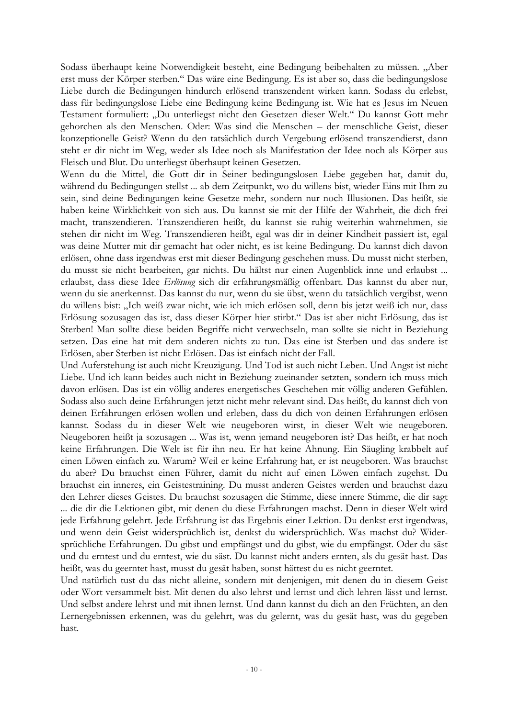Sodass überhaupt keine Notwendigkeit besteht, eine Bedingung beibehalten zu müssen. "Aber erst muss der Körper sterben." Das wäre eine Bedingung. Es ist aber so, dass die bedingungslose Liebe durch die Bedingungen hindurch erlösend transzendent wirken kann. Sodass du erlebst, dass für bedingungslose Liebe eine Bedingung keine Bedingung ist. Wie hat es Jesus im Neuen Testament formuliert: "Du unterliegst nicht den Gesetzen dieser Welt." Du kannst Gott mehr gehorchen als den Menschen. Oder: Was sind die Menschen - der menschliche Geist, dieser konzeptionelle Geist? Wenn du den tatsächlich durch Vergebung erlösend transzendierst, dann steht er dir nicht im Weg, weder als Idee noch als Manifestation der Idee noch als Körper aus Fleisch und Blut. Du unterliegst überhaupt keinen Gesetzen.

Wenn du die Mittel, die Gott dir in Seiner bedingungslosen Liebe gegeben hat, damit du, während du Bedingungen stellst ... ab dem Zeitpunkt, wo du willens bist, wieder Eins mit Ihm zu sein, sind deine Bedingungen keine Gesetze mehr, sondern nur noch Illusionen. Das heißt, sie haben keine Wirklichkeit von sich aus. Du kannst sie mit der Hilfe der Wahrheit, die dich frei macht, transzendieren. Transzendieren heißt, du kannst sie ruhig weiterhin wahrnehmen, sie stehen dir nicht im Weg. Transzendieren heißt, egal was dir in deiner Kindheit passiert ist, egal was deine Mutter mit dir gemacht hat oder nicht, es ist keine Bedingung. Du kannst dich davon erlösen, ohne dass irgendwas erst mit dieser Bedingung geschehen muss. Du musst nicht sterben, du musst sie nicht bearbeiten, gar nichts. Du hältst nur einen Augenblick inne und erlaubst ... erlaubst, dass diese Idee Erlösung sich dir erfahrungsmäßig offenbart. Das kannst du aber nur, wenn du sie anerkennst. Das kannst du nur, wenn du sie übst, wenn du tatsächlich vergibst, wenn du willens bist: "Ich weiß zwar nicht, wie ich mich erlösen soll, denn bis jetzt weiß ich nur, dass Erlösung sozusagen das ist, dass dieser Körper hier stirbt." Das ist aber nicht Erlösung, das ist Sterben! Man sollte diese beiden Begriffe nicht verwechseln, man sollte sie nicht in Beziehung setzen. Das eine hat mit dem anderen nichts zu tun. Das eine ist Sterben und das andere ist Erlösen, aber Sterben ist nicht Erlösen. Das ist einfach nicht der Fall.

Und Auferstehung ist auch nicht Kreuzigung. Und Tod ist auch nicht Leben. Und Angst ist nicht Liebe. Und ich kann beides auch nicht in Beziehung zueinander setzten, sondern ich muss mich davon erlösen. Das ist ein völlig anderes energetisches Geschehen mit völlig anderen Gefühlen. Sodass also auch deine Erfahrungen jetzt nicht mehr relevant sind. Das heißt, du kannst dich von deinen Erfahrungen erlösen wollen und erleben, dass du dich von deinen Erfahrungen erlösen kannst. Sodass du in dieser Welt wie neugeboren wirst, in dieser Welt wie neugeboren. Neugeboren heißt ja sozusagen ... Was ist, wenn jemand neugeboren ist? Das heißt, er hat noch keine Erfahrungen. Die Welt ist für ihn neu. Er hat keine Ahnung. Ein Säugling krabbelt auf einen Löwen einfach zu. Warum? Weil er keine Erfahrung hat, er ist neugeboren. Was brauchst du aber? Du brauchst einen Führer, damit du nicht auf einen Löwen einfach zugehst. Du brauchst ein inneres, ein Geistestraining. Du musst anderen Geistes werden und brauchst dazu den Lehrer dieses Geistes. Du brauchst sozusagen die Stimme, diese innere Stimme, die dir sagt ... die dir die Lektionen gibt, mit denen du diese Erfahrungen machst. Denn in dieser Welt wird jede Erfahrung gelehrt. Jede Erfahrung ist das Ergebnis einer Lektion. Du denkst erst irgendwas, und wenn dein Geist widersprüchlich ist, denkst du widersprüchlich. Was machst du? Widersprüchliche Erfahrungen. Du gibst und empfängst und du gibst, wie du empfängst. Oder du säst und du erntest und du erntest, wie du säst. Du kannst nicht anders ernten, als du gesät hast. Das heißt, was du geerntet hast, musst du gesät haben, sonst hättest du es nicht geerntet.

Und natürlich tust du das nicht alleine, sondern mit denjenigen, mit denen du in diesem Geist oder Wort versammelt bist. Mit denen du also lehrst und lernst und dich lehren lässt und lernst. Und selbst andere lehrst und mit ihnen lernst. Und dann kannst du dich an den Früchten, an den Lernergebnissen erkennen, was du gelehrt, was du gelernt, was du gesät hast, was du gegeben hast.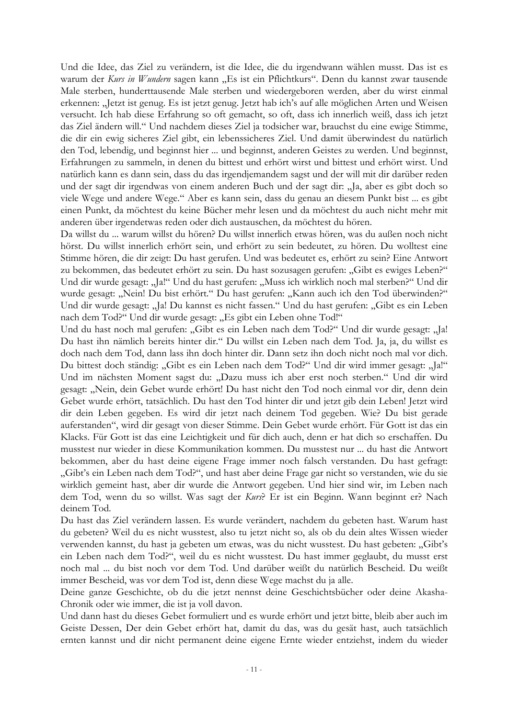Und die Idee, das Ziel zu verändern, ist die Idee, die du irgendwann wählen musst. Das ist es warum der Kurs in Wundern sagen kann "Es ist ein Pflichtkurs". Denn du kannst zwar tausende Male sterben, hunderttausende Male sterben und wiedergeboren werden, aber du wirst einmal erkennen: "Jetzt ist genug. Es ist jetzt genug. Jetzt hab ich's auf alle möglichen Arten und Weisen versucht. Ich hab diese Erfahrung so oft gemacht, so oft, dass ich innerlich weiß, dass ich jetzt das Ziel ändern will." Und nachdem dieses Ziel ja todsicher war, brauchst du eine ewige Stimme, die dir ein ewig sicheres Ziel gibt, ein lebenssicheres Ziel. Und damit überwindest du natürlich den Tod, lebendig, und beginnst hier ... und beginnst, anderen Geistes zu werden. Und beginnst, Erfahrungen zu sammeln, in denen du bittest und erhört wirst und bittest und erhört wirst. Und natürlich kann es dann sein, dass du das irgendjemandem sagst und der will mit dir darüber reden und der sagt dir irgendwas von einem anderen Buch und der sagt dir: "Ja, aber es gibt doch so viele Wege und andere Wege." Aber es kann sein, dass du genau an diesem Punkt bist ... es gibt einen Punkt, da möchtest du keine Bücher mehr lesen und da möchtest du auch nicht mehr mit anderen über irgendetwas reden oder dich austauschen, da möchtest du hören.

Da willst du ... warum willst du hören? Du willst innerlich etwas hören, was du außen noch nicht hörst. Du willst innerlich erhört sein, und erhört zu sein bedeutet, zu hören. Du wolltest eine Stimme hören, die dir zeigt: Du hast gerufen. Und was bedeutet es, erhört zu sein? Eine Antwort zu bekommen, das bedeutet erhört zu sein. Du hast sozusagen gerufen: "Gibt es ewiges Leben?" Und dir wurde gesagt: "Ja!" Und du hast gerufen: "Muss ich wirklich noch mal sterben?" Und dir wurde gesagt: "Nein! Du bist erhört." Du hast gerufen: "Kann auch ich den Tod überwinden?" Und dir wurde gesagt: "Ja! Du kannst es nicht fassen." Und du hast gerufen: "Gibt es ein Leben nach dem Tod?" Und dir wurde gesagt: "Es gibt ein Leben ohne Tod!"

Und du hast noch mal gerufen: "Gibt es ein Leben nach dem Tod?" Und dir wurde gesagt: "Ja! Du hast ihn nämlich bereits hinter dir." Du willst ein Leben nach dem Tod. Ja, ja, du willst es doch nach dem Tod, dann lass ihn doch hinter dir. Dann setz ihn doch nicht noch mal vor dich. Du bittest doch ständig: "Gibt es ein Leben nach dem Tod?" Und dir wird immer gesagt: "Ja!" Und im nächsten Moment sagst du: "Dazu muss ich aber erst noch sterben." Und dir wird gesagt: "Nein, dein Gebet wurde erhört! Du hast nicht den Tod noch einmal vor dir, denn dein Gebet wurde erhört, tatsächlich. Du hast den Tod hinter dir und jetzt gib dein Leben! Jetzt wird dir dein Leben gegeben. Es wird dir jetzt nach deinem Tod gegeben. Wie? Du bist gerade auferstanden", wird dir gesagt von dieser Stimme. Dein Gebet wurde erhört. Für Gott ist das ein Klacks. Für Gott ist das eine Leichtigkeit und für dich auch, denn er hat dich so erschaffen. Du musstest nur wieder in diese Kommunikation kommen. Du musstest nur ... du hast die Antwort bekommen, aber du hast deine eigene Frage immer noch falsch verstanden. Du hast gefragt: "Gibt's ein Leben nach dem Tod?", und hast aber deine Frage gar nicht so verstanden, wie du sie wirklich gemeint hast, aber dir wurde die Antwort gegeben. Und hier sind wir, im Leben nach dem Tod, wenn du so willst. Was sagt der Kurs? Er ist ein Beginn. Wann beginnt er? Nach deinem Tod.

Du hast das Ziel verändern lassen. Es wurde verändert, nachdem du gebeten hast. Warum hast du gebeten? Weil du es nicht wusstest, also tu jetzt nicht so, als ob du dein altes Wissen wieder verwenden kannst, du hast ja gebeten um etwas, was du nicht wusstest. Du hast gebeten: "Gibt's ein Leben nach dem Tod?", weil du es nicht wusstest. Du hast immer geglaubt, du musst erst noch mal ... du bist noch vor dem Tod. Und darüber weißt du natürlich Bescheid. Du weißt immer Bescheid, was vor dem Tod ist, denn diese Wege machst du ja alle.

Deine ganze Geschichte, ob du die jetzt nennst deine Geschichtsbücher oder deine Akasha-Chronik oder wie immer, die ist ja voll davon.

Und dann hast du dieses Gebet formuliert und es wurde erhört und jetzt bitte, bleib aber auch im Geiste Dessen, Der dein Gebet erhört hat, damit du das, was du gesät hast, auch tatsächlich ernten kannst und dir nicht permanent deine eigene Ernte wieder entziehst, indem du wieder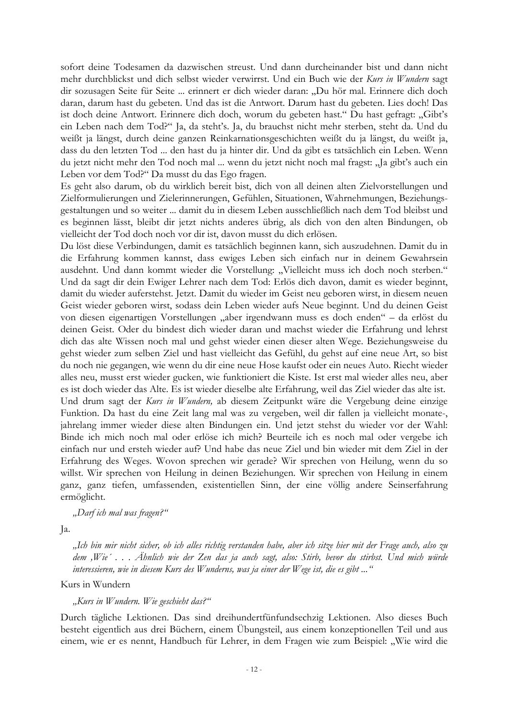sofort deine Todesamen da dazwischen streust. Und dann durcheinander bist und dann nicht mehr durchblickst und dich selbst wieder verwirrst. Und ein Buch wie der Kurs in Wundern sagt dir sozusagen Seite für Seite ... erinnert er dich wieder daran: "Du hör mal. Erinnere dich doch daran, darum hast du gebeten. Und das ist die Antwort. Darum hast du gebeten. Lies doch! Das ist doch deine Antwort. Erinnere dich doch, worum du gebeten hast." Du hast gefragt: "Gibt's ein Leben nach dem Tod?" Ja, da steht's. Ja, du brauchst nicht mehr sterben, steht da. Und du weißt ja längst, durch deine ganzen Reinkarnationsgeschichten weißt du ja längst, du weißt ja, dass du den letzten Tod ... den hast du ja hinter dir. Und da gibt es tatsächlich ein Leben. Wenn du jetzt nicht mehr den Tod noch mal ... wenn du jetzt nicht noch mal fragst: "Ja gibt's auch ein Leben vor dem Tod?" Da musst du das Ego fragen.

Es geht also darum, ob du wirklich bereit bist, dich von all deinen alten Zielvorstellungen und Zielformulierungen und Zielerinnerungen, Gefühlen, Situationen, Wahrnehmungen, Beziehungsgestaltungen und so weiter ... damit du in diesem Leben ausschließlich nach dem Tod bleibst und es beginnen lässt, bleibt dir jetzt nichts anderes übrig, als dich von den alten Bindungen, ob vielleicht der Tod doch noch vor dir ist, davon musst du dich erlösen.

Du löst diese Verbindungen, damit es tatsächlich beginnen kann, sich auszudehnen. Damit du in die Erfahrung kommen kannst, dass ewiges Leben sich einfach nur in deinem Gewahrsein ausdehnt. Und dann kommt wieder die Vorstellung: "Vielleicht muss ich doch noch sterben." Und da sagt dir dein Ewiger Lehrer nach dem Tod: Erlös dich davon, damit es wieder beginnt, damit du wieder auferstehst. Jetzt. Damit du wieder im Geist neu geboren wirst, in diesem neuen Geist wieder geboren wirst, sodass dein Leben wieder aufs Neue beginnt. Und du deinen Geist von diesen eigenartigen Vorstellungen "aber irgendwann muss es doch enden" – da erlöst du deinen Geist. Oder du bindest dich wieder daran und machst wieder die Erfahrung und lehrst dich das alte Wissen noch mal und gehst wieder einen dieser alten Wege. Beziehungsweise du gehst wieder zum selben Ziel und hast vielleicht das Gefühl, du gehst auf eine neue Art, so bist du noch nie gegangen, wie wenn du dir eine neue Hose kaufst oder ein neues Auto. Riecht wieder alles neu, musst erst wieder gucken, wie funktioniert die Kiste. Ist erst mal wieder alles neu, aber es ist doch wieder das Alte. Es ist wieder dieselbe alte Erfahrung, weil das Ziel wieder das alte ist. Und drum sagt der Kurs in Wundern, ab diesem Zeitpunkt wäre die Vergebung deine einzige Funktion. Da hast du eine Zeit lang mal was zu vergeben, weil dir fallen ja vielleicht monate-, jahrelang immer wieder diese alten Bindungen ein. Und jetzt stehst du wieder vor der Wahl: Binde ich mich noch mal oder erlöse ich mich? Beurteile ich es noch mal oder vergebe ich einfach nur und ersteh wieder auf? Und habe das neue Ziel und bin wieder mit dem Ziel in der Erfahrung des Weges. Wovon sprechen wir gerade? Wir sprechen von Heilung, wenn du so willst. Wir sprechen von Heilung in deinen Beziehungen. Wir sprechen von Heilung in einem ganz, ganz tiefen, umfassenden, existentiellen Sinn, der eine völlig andere Seinserfahrung ermöglicht.

## "Darf ich mal was fragen?"

Ja.

"Ich bin mir nicht sicher, ob ich alles richtig verstanden habe, aber ich sitze hier mit der Frage auch, also zu dem "Wie"... Ähnlich wie der Zen das ja auch sagt, also: Stirb, bevor du stirbst. Und mich würde interessieren, wie in diesem Kurs des Wunderns, was ja einer der Wege ist, die es gibt ..."

Kurs in Wundern

## "Kurs in Wundern. Wie geschieht das?"

Durch tägliche Lektionen. Das sind dreihundertfünfundsechzig Lektionen. Also dieses Buch besteht eigentlich aus drei Büchern, einem Übungsteil, aus einem konzeptionellen Teil und aus einem, wie er es nennt, Handbuch für Lehrer, in dem Fragen wie zum Beispiel: "Wie wird die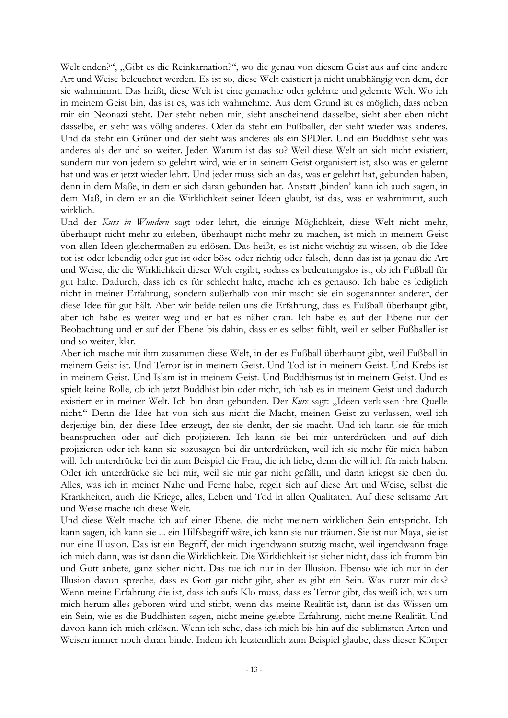Welt enden?", "Gibt es die Reinkarnation?", wo die genau von diesem Geist aus auf eine andere Art und Weise beleuchtet werden. Es ist so, diese Welt existiert ja nicht unabhängig von dem, der sie wahrnimmt. Das heißt, diese Welt ist eine gemachte oder gelehrte und gelernte Welt. Wo ich in meinem Geist bin, das ist es, was ich wahrnehme. Aus dem Grund ist es möglich, dass neben mir ein Neonazi steht. Der steht neben mir, sieht anscheinend dasselbe, sieht aber eben nicht dasselbe, er sieht was völlig anderes. Oder da steht ein Fußballer, der sieht wieder was anderes. Und da steht ein Grüner und der sieht was anderes als ein SPDler. Und ein Buddhist sieht was anderes als der und so weiter. Jeder. Warum ist das so? Weil diese Welt an sich nicht existiert, sondern nur von jedem so gelehrt wird, wie er in seinem Geist organisiert ist, also was er gelernt hat und was er jetzt wieder lehrt. Und jeder muss sich an das, was er gelehrt hat, gebunden haben, denn in dem Maße, in dem er sich daran gebunden hat. Anstatt "binden' kann ich auch sagen, in dem Maß, in dem er an die Wirklichkeit seiner Ideen glaubt, ist das, was er wahrnimmt, auch wirklich.

Und der Kurs in Wundern sagt oder lehrt, die einzige Möglichkeit, diese Welt nicht mehr, überhaupt nicht mehr zu erleben, überhaupt nicht mehr zu machen, ist mich in meinem Geist von allen Ideen gleichermaßen zu erlösen. Das heißt, es ist nicht wichtig zu wissen, ob die Idee tot ist oder lebendig oder gut ist oder böse oder richtig oder falsch, denn das ist ja genau die Art und Weise, die die Wirklichkeit dieser Welt ergibt, sodass es bedeutungslos ist, ob ich Fußball für gut halte. Dadurch, dass ich es für schlecht halte, mache ich es genauso. Ich habe es lediglich nicht in meiner Erfahrung, sondern außerhalb von mir macht sie ein sogenannter anderer, der diese Idee für gut hält. Aber wir beide teilen uns die Erfahrung, dass es Fußball überhaupt gibt, aber ich habe es weiter weg und er hat es näher dran. Ich habe es auf der Ebene nur der Beobachtung und er auf der Ebene bis dahin, dass er es selbst fühlt, weil er selber Fußballer ist und so weiter, klar.

Aber ich mache mit ihm zusammen diese Welt, in der es Fußball überhaupt gibt, weil Fußball in meinem Geist ist. Und Terror ist in meinem Geist. Und Tod ist in meinem Geist. Und Krebs ist in meinem Geist. Und Islam ist in meinem Geist. Und Buddhismus ist in meinem Geist. Und es spielt keine Rolle, ob ich jetzt Buddhist bin oder nicht, ich hab es in meinem Geist und dadurch existiert er in meiner Welt. Ich bin dran gebunden. Der Kurs sagt: "Ideen verlassen ihre Quelle nicht." Denn die Idee hat von sich aus nicht die Macht, meinen Geist zu verlassen, weil ich derjenige bin, der diese Idee erzeugt, der sie denkt, der sie macht. Und ich kann sie für mich beanspruchen oder auf dich projizieren. Ich kann sie bei mir unterdrücken und auf dich projizieren oder ich kann sie sozusagen bei dir unterdrücken, weil ich sie mehr für mich haben will. Ich unterdrücke bei dir zum Beispiel die Frau, die ich liebe, denn die will ich für mich haben. Oder ich unterdrücke sie bei mir, weil sie mir gar nicht gefällt, und dann kriegst sie eben du. Alles, was ich in meiner Nähe und Ferne habe, regelt sich auf diese Art und Weise, selbst die Krankheiten, auch die Kriege, alles, Leben und Tod in allen Qualitäten. Auf diese seltsame Art und Weise mache ich diese Welt.

Und diese Welt mache ich auf einer Ebene, die nicht meinem wirklichen Sein entspricht. Ich kann sagen, ich kann sie ... ein Hilfsbegriff wäre, ich kann sie nur träumen. Sie ist nur Maya, sie ist nur eine Illusion. Das ist ein Begriff, der mich irgendwann stutzig macht, weil irgendwann frage ich mich dann, was ist dann die Wirklichkeit. Die Wirklichkeit ist sicher nicht, dass ich fromm bin und Gott anbete, ganz sicher nicht. Das tue ich nur in der Illusion. Ebenso wie ich nur in der Illusion davon spreche, dass es Gott gar nicht gibt, aber es gibt ein Sein. Was nutzt mir das? Wenn meine Erfahrung die ist, dass ich aufs Klo muss, dass es Terror gibt, das weiß ich, was um mich herum alles geboren wird und stirbt, wenn das meine Realität ist, dann ist das Wissen um ein Sein, wie es die Buddhisten sagen, nicht meine gelebte Erfahrung, nicht meine Realität. Und davon kann ich mich erlösen. Wenn ich sehe, dass ich mich bis hin auf die sublimsten Arten und Weisen immer noch daran binde. Indem ich letztendlich zum Beispiel glaube, dass dieser Körper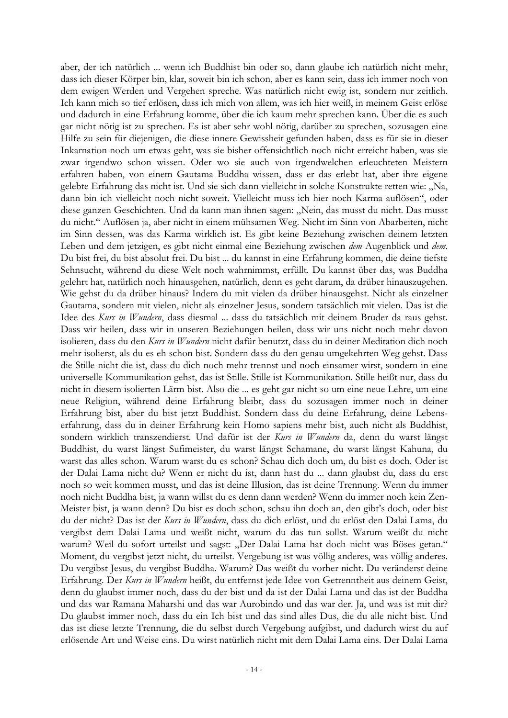aber, der ich natürlich ... wenn ich Buddhist bin oder so, dann glaube ich natürlich nicht mehr, dass ich dieser Körper bin, klar, soweit bin ich schon, aber es kann sein, dass ich immer noch von dem ewigen Werden und Vergehen spreche. Was natürlich nicht ewig ist, sondern nur zeitlich. Ich kann mich so tief erlösen, dass ich mich von allem, was ich hier weiß, in meinem Geist erlöse und dadurch in eine Erfahrung komme, über die ich kaum mehr sprechen kann. Über die es auch gar nicht nötig ist zu sprechen. Es ist aber sehr wohl nötig, darüber zu sprechen, sozusagen eine Hilfe zu sein für diejenigen, die diese innere Gewissheit gefunden haben, dass es für sie in dieser Inkarnation noch um etwas geht, was sie bisher offensichtlich noch nicht erreicht haben, was sie zwar irgendwo schon wissen. Oder wo sie auch von irgendwelchen erleuchteten Meistern erfahren haben, von einem Gautama Buddha wissen, dass er das erlebt hat, aber ihre eigene gelebte Erfahrung das nicht ist. Und sie sich dann vielleicht in solche Konstrukte retten wie: "Na, dann bin ich vielleicht noch nicht soweit. Vielleicht muss ich hier noch Karma auflösen", oder diese ganzen Geschichten. Und da kann man ihnen sagen: "Nein, das musst du nicht. Das musst du nicht." Auflösen ja, aber nicht in einem mühsamen Weg. Nicht im Sinn von Abarbeiten, nicht im Sinn dessen, was das Karma wirklich ist. Es gibt keine Beziehung zwischen deinem letzten Leben und dem jetzigen, es gibt nicht einmal eine Beziehung zwischen dem Augenblick und dem. Du bist frei, du bist absolut frei. Du bist ... du kannst in eine Erfahrung kommen, die deine tiefste Sehnsucht, während du diese Welt noch wahrnimmst, erfüllt. Du kannst über das, was Buddha gelehrt hat, natürlich noch hinausgehen, natürlich, denn es geht darum, da drüber hinauszugehen. Wie gehst du da drüber hinaus? Indem du mit vielen da drüber hinausgehst. Nicht als einzelner Gautama, sondern mit vielen, nicht als einzelner Jesus, sondern tatsächlich mit vielen. Das ist die Idee des *Kurs in Wundern*, dass diesmal ... dass du tatsächlich mit deinem Bruder da raus gehst. Dass wir heilen, dass wir in unseren Beziehungen heilen, dass wir uns nicht noch mehr davon isolieren, dass du den Kurs in Wundern nicht dafür benutzt, dass du in deiner Meditation dich noch mehr isolierst, als du es eh schon bist. Sondern dass du den genau umgekehrten Weg gehst. Dass die Stille nicht die ist, dass du dich noch mehr trennst und noch einsamer wirst, sondern in eine universelle Kommunikation gehst, das ist Stille. Stille ist Kommunikation. Stille heißt nur, dass du nicht in diesem isolierten Lärm bist. Also die ... es geht gar nicht so um eine neue Lehre, um eine neue Religion, während deine Erfahrung bleibt, dass du sozusagen immer noch in deiner Erfahrung bist, aber du bist jetzt Buddhist. Sondern dass du deine Erfahrung, deine Lebenserfahrung, dass du in deiner Erfahrung kein Homo sapiens mehr bist, auch nicht als Buddhist, sondern wirklich transzendierst. Und dafür ist der Kurs in Wundern da, denn du warst längst Buddhist, du warst längst Sufimeister, du warst längst Schamane, du warst längst Kahuna, du warst das alles schon. Warum warst du es schon? Schau dich doch um, du bist es doch. Oder ist der Dalai Lama nicht du? Wenn er nicht du ist, dann hast du ... dann glaubst du, dass du erst noch so weit kommen musst, und das ist deine Illusion, das ist deine Trennung. Wenn du immer noch nicht Buddha bist, ja wann willst du es denn dann werden? Wenn du immer noch kein Zen-Meister bist, ja wann denn? Du bist es doch schon, schau ihn doch an, den gibt's doch, oder bist du der nicht? Das ist der Kurs in Wundern, dass du dich erlöst, und du erlöst den Dalai Lama, du vergibst dem Dalai Lama und weißt nicht, warum du das tun sollst. Warum weißt du nicht warum? Weil du sofort urteilst und sagst: "Der Dalai Lama hat doch nicht was Böses getan." Moment, du vergibst jetzt nicht, du urteilst. Vergebung ist was völlig anderes, was völlig anderes. Du vergibst Jesus, du vergibst Buddha. Warum? Das weißt du vorher nicht. Du veränderst deine Erfahrung. Der Kurs in Wundern heißt, du entfernst jede Idee von Getrenntheit aus deinem Geist, denn du glaubst immer noch, dass du der bist und da ist der Dalai Lama und das ist der Buddha und das war Ramana Maharshi und das war Aurobindo und das war der. Ja, und was ist mit dir? Du glaubst immer noch, dass du ein Ich bist und das sind alles Dus, die du alle nicht bist. Und das ist diese letzte Trennung, die du selbst durch Vergebung aufgibst, und dadurch wirst du auf erlösende Art und Weise eins. Du wirst natürlich nicht mit dem Dalai Lama eins. Der Dalai Lama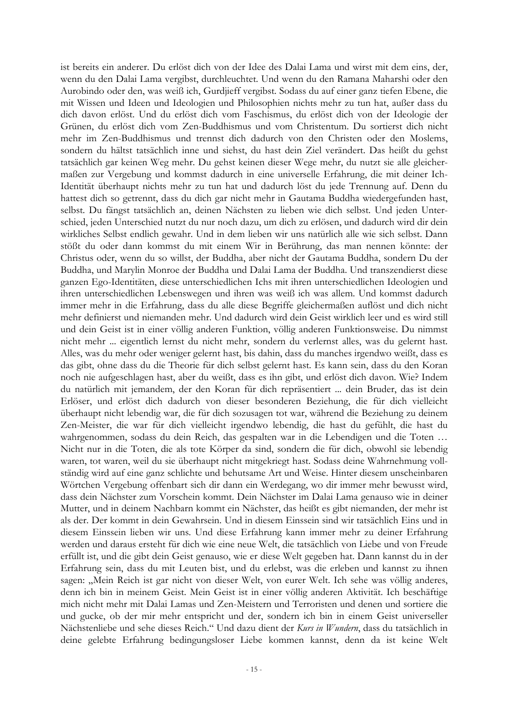ist bereits ein anderer. Du erlöst dich von der Idee des Dalai Lama und wirst mit dem eins, der, wenn du den Dalai Lama vergibst, durchleuchtet. Und wenn du den Ramana Maharshi oder den Aurobindo oder den, was weiß ich, Gurdjieff vergibst. Sodass du auf einer ganz tiefen Ebene, die mit Wissen und Ideen und Ideologien und Philosophien nichts mehr zu tun hat, außer dass du dich davon erlöst. Und du erlöst dich vom Faschismus, du erlöst dich von der Ideologie der Grünen, du erlöst dich vom Zen-Buddhismus und vom Christentum. Du sortierst dich nicht mehr im Zen-Buddhismus und trennst dich dadurch von den Christen oder den Moslems, sondern du hältst tatsächlich inne und siehst, du hast dein Ziel verändert. Das heißt du gehst tatsächlich gar keinen Weg mehr. Du gehst keinen dieser Wege mehr, du nutzt sie alle gleichermaßen zur Vergebung und kommst dadurch in eine universelle Erfahrung, die mit deiner Ich-Identität überhaupt nichts mehr zu tun hat und dadurch löst du jede Trennung auf. Denn du hattest dich so getrennt, dass du dich gar nicht mehr in Gautama Buddha wiedergefunden hast, selbst. Du fängst tatsächlich an, deinen Nächsten zu lieben wie dich selbst. Und jeden Unterschied, jeden Unterschied nutzt du nur noch dazu, um dich zu erlösen, und dadurch wird dir dein wirkliches Selbst endlich gewahr. Und in dem lieben wir uns natürlich alle wie sich selbst. Dann stößt du oder dann kommst du mit einem Wir in Berührung, das man nennen könnte: der Christus oder, wenn du so willst, der Buddha, aber nicht der Gautama Buddha, sondern Du der Buddha, und Marylin Monroe der Buddha und Dalai Lama der Buddha. Und transzendierst diese ganzen Ego-Identitäten, diese unterschiedlichen Ichs mit ihren unterschiedlichen Ideologien und ihren unterschiedlichen Lebenswegen und ihren was weiß ich was allem. Und kommst dadurch immer mehr in die Erfahrung, dass du alle diese Begriffe gleichermaßen auflöst und dich nicht mehr definierst und niemanden mehr. Und dadurch wird dein Geist wirklich leer und es wird still und dein Geist ist in einer völlig anderen Funktion, völlig anderen Funktionsweise. Du nimmst nicht mehr ... eigentlich lernst du nicht mehr, sondern du verlernst alles, was du gelernt hast. Alles, was du mehr oder weniger gelernt hast, bis dahin, dass du manches irgendwo weißt, dass es das gibt, ohne dass du die Theorie für dich selbst gelernt hast. Es kann sein, dass du den Koran noch nie aufgeschlagen hast, aber du weißt, dass es ihn gibt, und erlöst dich davon. Wie? Indem du natürlich mit jemandem, der den Koran für dich repräsentiert ... dein Bruder, das ist dein Erlöser, und erlöst dich dadurch von dieser besonderen Beziehung, die für dich vielleicht überhaupt nicht lebendig war, die für dich sozusagen tot war, während die Beziehung zu deinem Zen-Meister, die war für dich vielleicht irgendwo lebendig, die hast du gefühlt, die hast du wahrgenommen, sodass du dein Reich, das gespalten war in die Lebendigen und die Toten ... Nicht nur in die Toten, die als tote Körper da sind, sondern die für dich, obwohl sie lebendig waren, tot waren, weil du sie überhaupt nicht mitgekriegt hast. Sodass deine Wahrnehmung vollständig wird auf eine ganz schlichte und behutsame Art und Weise. Hinter diesem unscheinbaren Wörtchen Vergebung offenbart sich dir dann ein Werdegang, wo dir immer mehr bewusst wird, dass dein Nächster zum Vorschein kommt. Dein Nächster im Dalai Lama genauso wie in deiner Mutter, und in deinem Nachbarn kommt ein Nächster, das heißt es gibt niemanden, der mehr ist als der. Der kommt in dein Gewahrsein. Und in diesem Einssein sind wir tatsächlich Eins und in diesem Einssein lieben wir uns. Und diese Erfahrung kann immer mehr zu deiner Erfahrung werden und daraus ersteht für dich wie eine neue Welt, die tatsächlich von Liebe und von Freude erfüllt ist, und die gibt dein Geist genauso, wie er diese Welt gegeben hat. Dann kannst du in der Erfahrung sein, dass du mit Leuten bist, und du erlebst, was die erleben und kannst zu ihnen sagen: "Mein Reich ist gar nicht von dieser Welt, von eurer Welt. Ich sehe was völlig anderes, denn ich bin in meinem Geist. Mein Geist ist in einer völlig anderen Aktivität. Ich beschäftige mich nicht mehr mit Dalai Lamas und Zen-Meistern und Terroristen und denen und sortiere die und gucke, ob der mir mehr entspricht und der, sondern ich bin in einem Geist universeller Nächstenliebe und sehe dieses Reich." Und dazu dient der Kurs in Wundern, dass du tatsächlich in deine gelebte Erfahrung bedingungsloser Liebe kommen kannst, denn da ist keine Welt